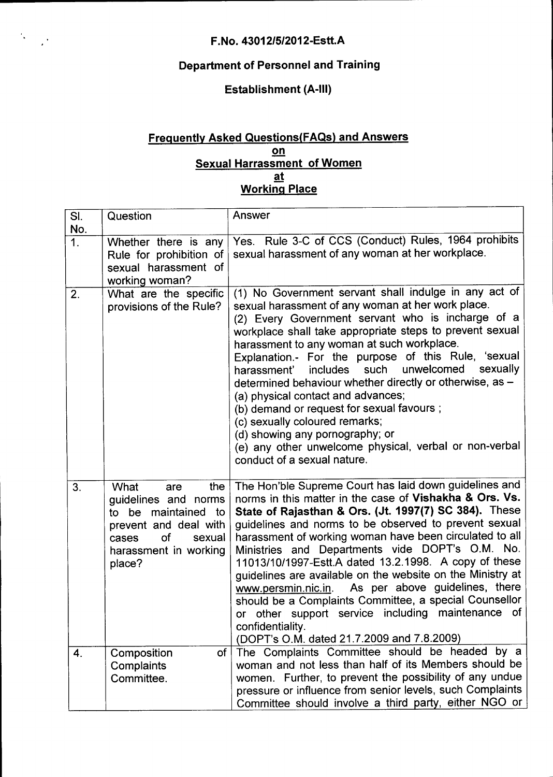$\mathcal{R}^{(1)}$  ,  $\mathcal{P}$ 

## **Department of Personnel and Training**

## **Establishment (A-III)**

## **Frequently Asked Questions(FAQs) and Answers on Sexual Harrassment of Women at Working Place**

| SI.<br>No.         | Question                                                                                                                                                      | Answer                                                                                                                                                                                                                                                                                                                                                                                                                                                                                                                                                                                                                                                                                                             |
|--------------------|---------------------------------------------------------------------------------------------------------------------------------------------------------------|--------------------------------------------------------------------------------------------------------------------------------------------------------------------------------------------------------------------------------------------------------------------------------------------------------------------------------------------------------------------------------------------------------------------------------------------------------------------------------------------------------------------------------------------------------------------------------------------------------------------------------------------------------------------------------------------------------------------|
| $\mathbf 1$ .      | Whether there is any<br>Rule for prohibition of<br>sexual harassment of<br>working woman?                                                                     | Yes. Rule 3-C of CCS (Conduct) Rules, 1964 prohibits<br>sexual harassment of any woman at her workplace.                                                                                                                                                                                                                                                                                                                                                                                                                                                                                                                                                                                                           |
| 2.                 | What are the specific<br>provisions of the Rule?                                                                                                              | (1) No Government servant shall indulge in any act of<br>sexual harassment of any woman at her work place.<br>(2) Every Government servant who is incharge of a<br>workplace shall take appropriate steps to prevent sexual<br>harassment to any woman at such workplace.<br>Explanation.- For the purpose of this Rule, 'sexual<br>unwelcomed sexually<br>includes such<br>harassment'<br>determined behaviour whether directly or otherwise, as -<br>(a) physical contact and advances;<br>(b) demand or request for sexual favours;<br>(c) sexually coloured remarks;<br>(d) showing any pornography; or<br>(e) any other unwelcome physical, verbal or non-verbal<br>conduct of a sexual nature.               |
| 3.                 | the<br>What<br>are<br>guidelines and norms<br>to be maintained to<br>prevent and deal with<br><b>of</b><br>sexual<br>cases<br>harassment in working<br>place? | The Hon'ble Supreme Court has laid down guidelines and<br>norms in this matter in the case of Vishakha & Ors. Vs.<br>State of Rajasthan & Ors. (Jt. 1997(7) SC 384). These<br>guidelines and norms to be observed to prevent sexual<br>harassment of working woman have been circulated to all<br>Ministries and Departments vide DOPT's O.M. No.<br>11013/10/1997-Estt.A dated 13.2.1998. A copy of these<br>guidelines are available on the website on the Ministry at<br>As per above guidelines, there<br>www.persmin.nic.in.<br>should be a Complaints Committee, a special Counsellor<br>or other support service including maintenance of<br>confidentiality.<br>(DOPT's O.M. dated 21.7.2009 and 7.8.2009) |
| $\boldsymbol{4}$ . | Composition<br>of  <br>Complaints<br>Committee.                                                                                                               | The Complaints Committee should be headed by a<br>woman and not less than half of its Members should be<br>women. Further, to prevent the possibility of any undue<br>pressure or influence from senior levels, such Complaints<br>Committee should involve a third party, either NGO or                                                                                                                                                                                                                                                                                                                                                                                                                           |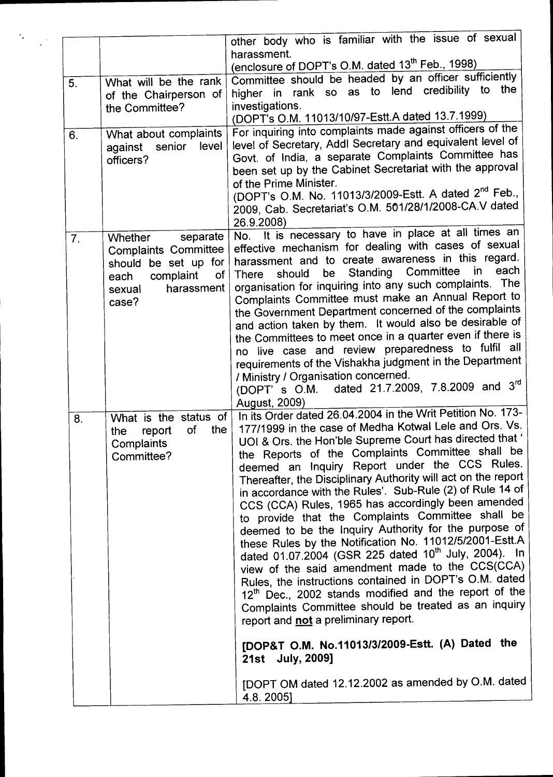|    |                                      | other body who is familiar with the issue of sexual                                                            |
|----|--------------------------------------|----------------------------------------------------------------------------------------------------------------|
|    |                                      | harassment.                                                                                                    |
|    |                                      | (enclosure of DOPT's O.M. dated 13 <sup>th</sup> Feb., 1998)                                                   |
| 5. | What will be the rank                | Committee should be headed by an officer sufficiently                                                          |
|    | of the Chairperson of                | higher in rank so as to lend credibility to the                                                                |
|    | the Committee?                       | investigations.                                                                                                |
|    |                                      | (DOPT's O.M. 11013/10/97-Estt.A dated 13.7.1999)                                                               |
|    |                                      | For inquiring into complaints made against officers of the                                                     |
| 6. | What about complaints<br>level       | level of Secretary, Addl Secretary and equivalent level of                                                     |
|    | against senior                       | Govt. of India, a separate Complaints Committee has                                                            |
|    | officers?                            | been set up by the Cabinet Secretariat with the approval                                                       |
|    |                                      | of the Prime Minister.                                                                                         |
|    |                                      | (DOPT's O.M. No. 11013/3/2009-Estt. A dated 2 <sup>nd</sup> Feb.,                                              |
|    |                                      | 2009, Cab. Secretariat's O.M. 501/28/1/2008-CA.V dated                                                         |
|    |                                      |                                                                                                                |
|    |                                      | 26.9.2008)<br>No. It is necessary to have in place at all times an                                             |
| 7. | <b>Whether</b><br>separate           | effective mechanism for dealing with cases of sexual                                                           |
|    | Complaints Committee                 | harassment and to create awareness in this regard.                                                             |
|    | should be set up for                 | each<br>$\mathsf{in}$<br>Standing Committee                                                                    |
|    | complaint<br>of <sub>l</sub><br>each | be<br>should<br>There                                                                                          |
|    | harassment<br>sexual                 | organisation for inquiring into any such complaints. The<br>Complaints Committee must make an Annual Report to |
|    | case?                                | the Government Department concerned of the complaints                                                          |
|    |                                      | and action taken by them. It would also be desirable of                                                        |
|    |                                      | the Committees to meet once in a quarter even if there is                                                      |
|    |                                      | no live case and review preparedness to fulfil all                                                             |
|    |                                      |                                                                                                                |
|    |                                      | requirements of the Vishakha judgment in the Department                                                        |
|    |                                      | / Ministry / Organisation concerned.<br>(DOPT' s O.M. dated 21.7.2009, 7.8.2009 and 3rd                        |
|    |                                      |                                                                                                                |
|    |                                      | August, 2009)<br>In its Order dated 26.04.2004 in the Writ Petition No. 173-                                   |
| 8. | What is the status of                | 177/1999 in the case of Medha Kotwal Lele and Ors. Vs.                                                         |
|    | of<br>the<br>report<br>the           | UOI & Ors. the Hon'ble Supreme Court has directed that '                                                       |
|    | Complaints                           | the Reports of the Complaints Committee shall be                                                               |
|    | Committee?                           | deemed an Inquiry Report under the CCS Rules.                                                                  |
|    |                                      | Thereafter, the Disciplinary Authority will act on the report                                                  |
|    |                                      | in accordance with the Rules'. Sub-Rule (2) of Rule 14 of                                                      |
|    |                                      | CCS (CCA) Rules, 1965 has accordingly been amended                                                             |
|    |                                      | to provide that the Complaints Committee shall be                                                              |
|    |                                      |                                                                                                                |
|    |                                      | deemed to be the Inquiry Authority for the purpose of                                                          |
|    |                                      | these Rules by the Notification No. 11012/5/2001-Estt.A                                                        |
|    |                                      | dated 01.07.2004 (GSR 225 dated 10 <sup>th</sup> July, 2004). In                                               |
|    |                                      | view of the said amendment made to the CCS(CCA)                                                                |
|    |                                      | Rules, the instructions contained in DOPT's O.M. dated                                                         |
|    |                                      | 12th Dec., 2002 stands modified and the report of the                                                          |
|    |                                      | Complaints Committee should be treated as an inquiry                                                           |
|    |                                      | report and not a preliminary report.                                                                           |
|    |                                      |                                                                                                                |
|    |                                      | [DOP&T O.M. No.11013/3/2009-Estt. (A) Dated the                                                                |
|    |                                      | 21st July, 2009]                                                                                               |
|    |                                      | [DOPT OM dated 12.12.2002 as amended by O.M. dated                                                             |
|    |                                      |                                                                                                                |
|    |                                      | 4.8.20051                                                                                                      |

 $\label{eq:2} \frac{d\mathbf{y}}{dt} = \frac{1}{2} \mathbf{y}^2 \mathbf{y}$